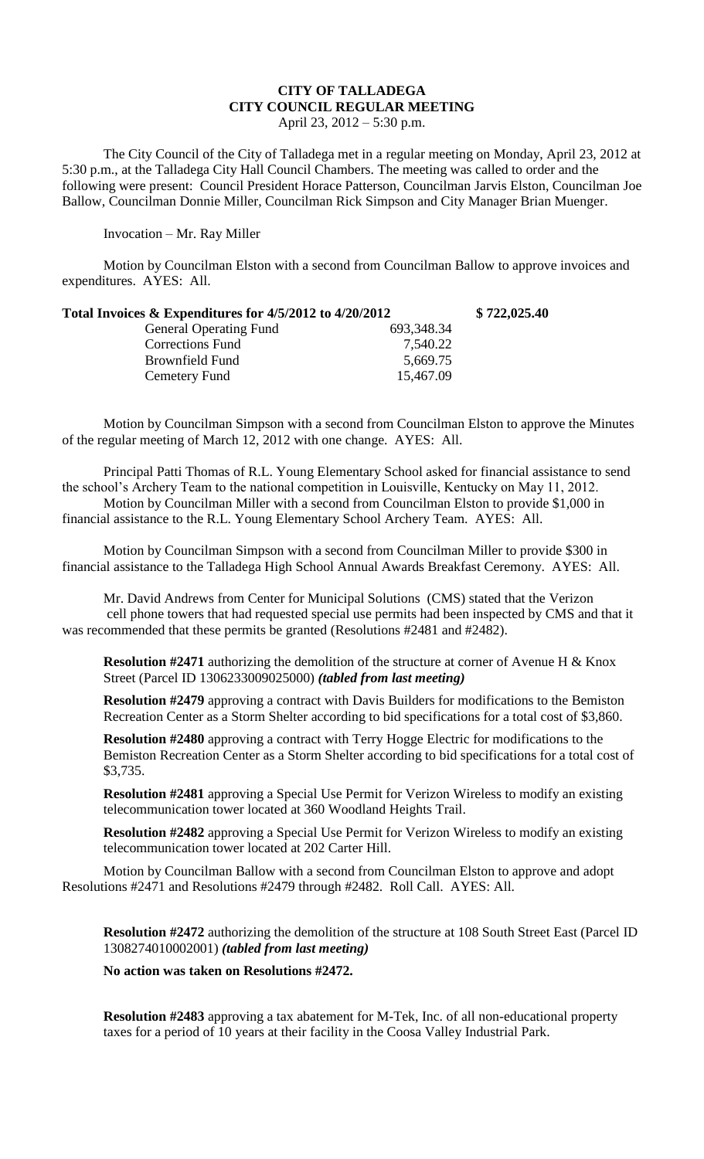## **CITY OF TALLADEGA CITY COUNCIL REGULAR MEETING**

April 23, 2012 – 5:30 p.m.

The City Council of the City of Talladega met in a regular meeting on Monday, April 23, 2012 at 5:30 p.m., at the Talladega City Hall Council Chambers. The meeting was called to order and the following were present: Council President Horace Patterson, Councilman Jarvis Elston, Councilman Joe Ballow, Councilman Donnie Miller, Councilman Rick Simpson and City Manager Brian Muenger.

Invocation – Mr. Ray Miller

Motion by Councilman Elston with a second from Councilman Ballow to approve invoices and expenditures. AYES: All.

| Total Invoices $\&$ Expenditures for 4/5/2012 to 4/20/2012 |            | \$722,025.40 |
|------------------------------------------------------------|------------|--------------|
| <b>General Operating Fund</b>                              | 693,348.34 |              |
| Corrections Fund                                           | 7,540.22   |              |
| Brownfield Fund                                            | 5,669.75   |              |
| Cemetery Fund                                              | 15,467.09  |              |

Motion by Councilman Simpson with a second from Councilman Elston to approve the Minutes of the regular meeting of March 12, 2012 with one change. AYES: All.

Principal Patti Thomas of R.L. Young Elementary School asked for financial assistance to send the school's Archery Team to the national competition in Louisville, Kentucky on May 11, 2012. Motion by Councilman Miller with a second from Councilman Elston to provide \$1,000 in financial assistance to the R.L. Young Elementary School Archery Team. AYES: All.

Motion by Councilman Simpson with a second from Councilman Miller to provide \$300 in financial assistance to the Talladega High School Annual Awards Breakfast Ceremony. AYES: All.

Mr. David Andrews from Center for Municipal Solutions (CMS) stated that the Verizon cell phone towers that had requested special use permits had been inspected by CMS and that it was recommended that these permits be granted (Resolutions #2481 and #2482).

**Resolution #2471** authorizing the demolition of the structure at corner of Avenue H & Knox Street (Parcel ID 1306233009025000) *(tabled from last meeting)*

**Resolution #2479** approving a contract with Davis Builders for modifications to the Bemiston Recreation Center as a Storm Shelter according to bid specifications for a total cost of \$3,860.

**Resolution #2480** approving a contract with Terry Hogge Electric for modifications to the Bemiston Recreation Center as a Storm Shelter according to bid specifications for a total cost of \$3,735.

**Resolution #2481** approving a Special Use Permit for Verizon Wireless to modify an existing telecommunication tower located at 360 Woodland Heights Trail.

**Resolution #2482** approving a Special Use Permit for Verizon Wireless to modify an existing telecommunication tower located at 202 Carter Hill.

Motion by Councilman Ballow with a second from Councilman Elston to approve and adopt Resolutions #2471 and Resolutions #2479 through #2482. Roll Call. AYES: All.

**Resolution #2472** authorizing the demolition of the structure at 108 South Street East (Parcel ID 1308274010002001) *(tabled from last meeting)* 

**No action was taken on Resolutions #2472.**

**Resolution #2483** approving a tax abatement for M-Tek, Inc. of all non-educational property taxes for a period of 10 years at their facility in the Coosa Valley Industrial Park.